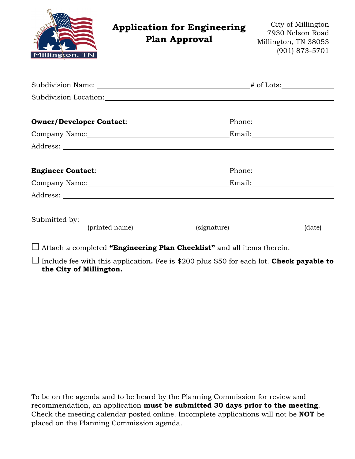| Millington, TN                                                                                                                                                                                                                 | <b>Application for Engineering</b><br><b>Plan Approval</b> | City of Millington<br>7930 Nelson Road<br>Millington, TN 38053<br>(901) 873-5701 |
|--------------------------------------------------------------------------------------------------------------------------------------------------------------------------------------------------------------------------------|------------------------------------------------------------|----------------------------------------------------------------------------------|
|                                                                                                                                                                                                                                |                                                            |                                                                                  |
|                                                                                                                                                                                                                                |                                                            |                                                                                  |
| Owner/Developer Contact: \\square\\square\square\square\square\square\square\square\square\square\square\square\square\square\square\square\square\square\square\square\square\square\square\square\square\square\square\squar |                                                            |                                                                                  |
|                                                                                                                                                                                                                                |                                                            |                                                                                  |
|                                                                                                                                                                                                                                |                                                            |                                                                                  |
|                                                                                                                                                                                                                                |                                                            |                                                                                  |
|                                                                                                                                                                                                                                |                                                            |                                                                                  |
|                                                                                                                                                                                                                                |                                                            |                                                                                  |
|                                                                                                                                                                                                                                |                                                            |                                                                                  |
| (printed name)                                                                                                                                                                                                                 | (signature)                                                | (date)                                                                           |

Attach a completed **"Engineering Plan Checklist"** and all items therein.

 Include fee with this application**.** Fee is \$200 plus \$50 for each lot. **Check payable to the City of Millington.**

To be on the agenda and to be heard by the Planning Commission for review and recommendation, an application **must be submitted 30 days prior to the meeting**. Check the meeting calendar posted online. Incomplete applications will not be **NOT** be placed on the Planning Commission agenda.